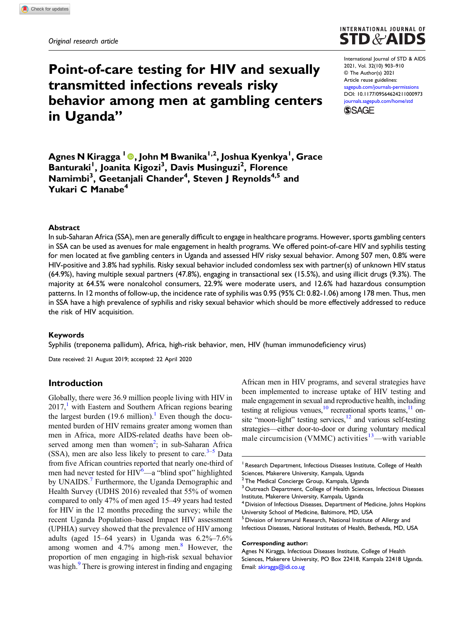# Point-of-care testing for HIV and sexually transmitted infections reveals risky behavior among men at gambling centers in Uganda"



International Journal of STD & AIDS 2021, Vol. 32(10) 903–910 © The Author(s) 2021 Article reuse guidelines: [sagepub.com/journals-permissions](https://uk.sagepub.com/en-gb/journals-permissions) DOI: [10.1177/09564624211000973](https://doi.org/10.1177/09564624211000973) [journals.sagepub.com/home/std](https://journals.sagepub.com/home/std) **SSAGE** 

Agnes N Kiragga <sup>1</sup>, John M Bwanika1,2, Joshua Kyenkya1 , Grace Banturaki<sup>1</sup>, Joanita Kigozi<sup>3</sup>, Davis Musinguzi<sup>2</sup>, Florence Namimbi<sup>3</sup>, Geetanjali Chander<sup>4</sup>, Steven J Reynolds<sup>4,5</sup> and Yukari C Manabe<sup>4</sup>

### Abstract

In sub-Saharan Africa (SSA), men are generally difficult to engage in healthcare programs. However, sports gambling centers in SSA can be used as avenues for male engagement in health programs. We offered point-of-care HIV and syphilis testing for men located at five gambling centers in Uganda and assessed HIV risky sexual behavior. Among 507 men, 0.8% were HIV-positive and 3.8% had syphilis. Risky sexual behavior included condomless sex with partner(s) of unknown HIV status (64.9%), having multiple sexual partners (47.8%), engaging in transactional sex (15.5%), and using illicit drugs (9.3%). The majority at 64.5% were nonalcohol consumers, 22.9% were moderate users, and 12.6% had hazardous consumption patterns. In 12 months of follow-up, the incidence rate of syphilis was 0.95 (95% CI: 0.82-1.06) among 178 men. Thus, men in SSA have a high prevalence of syphilis and risky sexual behavior which should be more effectively addressed to reduce the risk of HIV acquisition.

### Keywords

Syphilis (treponema pallidum), Africa, high-risk behavior, men, HIV (human immunodeficiency virus)

Date received: 21 August 2019; accepted: 22 April 2020

# Introduction

Globally, there were 36.9 million people living with HIV in  $2017<sup>1</sup>$  $2017<sup>1</sup>$  $2017<sup>1</sup>$  with Eastern and Southern African regions bearing the largest burden (19.6 million).<sup>1</sup> Even though the documented burden of HIV remains greater among women than men in Africa, more AIDS-related deaths have been ob-served among men than women<sup>[2](#page-6-1)</sup>; in sub-Saharan Africa (SSA), men are also less likely to present to care. $3-5$  $3-5$  $3-5$  Data from five African countries reported that nearly one-third of men had never tested for  $HIV^6$  $HIV^6$ —a "blind spot" highlighted by UNAIDS.<sup>[7](#page-6-5)</sup> Furthermore, the Uganda Demographic and Health Survey (UDHS 2016) revealed that 55% of women compared to only 47% of men aged 15–49 years had tested for HIV in the 12 months preceding the survey; while the recent Uganda Population–based Impact HIV assessment (UPHIA) survey showed that the prevalence of HIV among adults (aged 15–64 years) in Uganda was 6.2%–7.6% among women and  $4.7\%$  among men.<sup>[8](#page-6-6)</sup> However, the proportion of men engaging in high-risk sexual behavior was high.<sup>[9](#page-6-7)</sup> There is growing interest in finding and engaging

African men in HIV programs, and several strategies have been implemented to increase uptake of HIV testing and male engagement in sexual and reproductive health, including testing at religious venues, $10$  recreational sports teams, $11$  onsite "moon-light" testing services,<sup>12</sup> and various self-testing strategies—either door-to-door or during voluntary medical male circumcision (VMMC) activities<sup>[13](#page-7-0)</sup>—with variable

<sup>5</sup> Division of Intramural Research, National Institute of Allergy and Infectious Diseases, National Institutes of Health, Bethesda, MD, USA

#### Corresponding author:

<sup>&</sup>lt;sup>1</sup> Research Department, Infectious Diseases Institute, College of Health Sciences, Makerere University, Kampala, Uganda

<sup>&</sup>lt;sup>2</sup> The Medical Concierge Group, Kampala, Uganda

<sup>&</sup>lt;sup>3</sup> Outreach Department, College of Health Sciences, Infectious Diseases Institute, Makerere University, Kampala, Uganda

<sup>&</sup>lt;sup>4</sup> Division of Infectious Diseases, Department of Medicine, Johns Hopkins University School of Medicine, Baltimore, MD, USA

Agnes N Kiragga, Infectious Diseases Institute, College of Health Sciences, Makerere University, PO Box 22418, Kampala 22418 Uganda. Email: [akiragga@idi.co.ug](mailto:akiragga@idi.co.ug)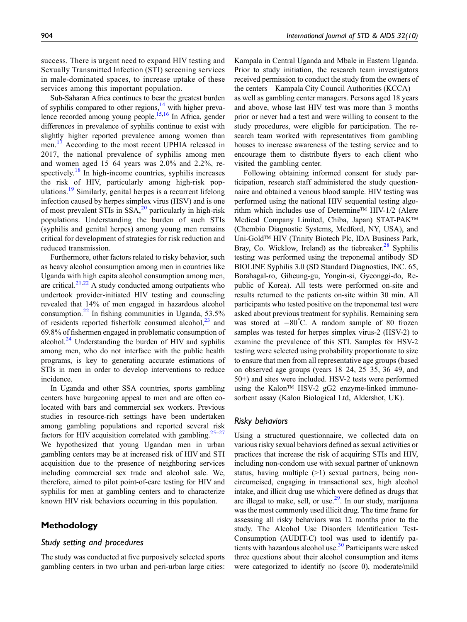success. There is urgent need to expand HIV testing and Sexually Transmitted Infection (STI) screening services in male-dominated spaces, to increase uptake of these services among this important population.

Sub-Saharan Africa continues to bear the greatest burden of syphilis compared to other regions,<sup>14</sup> with higher preva-lence recorded among young people.<sup>15[,16](#page-7-3)</sup> In Africa, gender differences in prevalence of syphilis continue to exist with slightly higher reported prevalence among women than men.<sup>[17](#page-7-4)</sup> According to the most recent UPHIA released in 2017, the national prevalence of syphilis among men and women aged 15–64 years was 2.0% and 2.2%, re-spectively.<sup>[18](#page-7-5)</sup> In high-income countries, syphilis increases the risk of HIV, particularly among high-risk populations.[19](#page-7-6) Similarly, genital herpes is a recurrent lifelong infection caused by herpes simplex virus (HSV) and is one of most prevalent STIs in  $SSA$ ,<sup>[20](#page-7-7)</sup> particularly in high-risk populations. Understanding the burden of such STIs (syphilis and genital herpes) among young men remains critical for development of strategies for risk reduction and reduced transmission.

Furthermore, other factors related to risky behavior, such as heavy alcohol consumption among men in countries like Uganda with high capita alcohol consumption among men, are critical. $2^{1,22}$  $2^{1,22}$  $2^{1,22}$  A study conducted among outpatients who undertook provider-initiated HIV testing and counseling revealed that 14% of men engaged in hazardous alcohol consumption.<sup>[22](#page-7-9)</sup> In fishing communities in Uganda,  $53.5\%$ of residents reported fisherfolk consumed alcohol, $^{23}$  $^{23}$  $^{23}$  and 69.8% of fishermen engaged in problematic consumption of alcohol. $^{24}$  $^{24}$  $^{24}$  Understanding the burden of HIV and syphilis among men, who do not interface with the public health programs, is key to generating accurate estimations of STIs in men in order to develop interventions to reduce incidence.

In Uganda and other SSA countries, sports gambling centers have burgeoning appeal to men and are often colocated with bars and commercial sex workers. Previous studies in resource-rich settings have been undertaken among gambling populations and reported several risk factors for HIV acquisition correlated with gambling.<sup>25–[27](#page-7-13)</sup> We hypothesized that young Ugandan men in urban gambling centers may be at increased risk of HIV and STI acquisition due to the presence of neighboring services including commercial sex trade and alcohol sale. We, therefore, aimed to pilot point-of-care testing for HIV and syphilis for men at gambling centers and to characterize known HIV risk behaviors occurring in this population.

# Methodology

#### Study setting and procedures

The study was conducted at five purposively selected sports gambling centers in two urban and peri-urban large cities: Kampala in Central Uganda and Mbale in Eastern Uganda. Prior to study initiation, the research team investigators received permission to conduct the study from the owners of the centers—Kampala City Council Authorities (KCCA) as well as gambling center managers. Persons aged 18 years and above, whose last HIV test was more than 3 months prior or never had a test and were willing to consent to the study procedures, were eligible for participation. The research team worked with representatives from gambling houses to increase awareness of the testing service and to encourage them to distribute flyers to each client who visited the gambling center.

Following obtaining informed consent for study participation, research staff administered the study questionnaire and obtained a venous blood sample. HIV testing was performed using the national HIV sequential testing algorithm which includes use of Determine<sup>TM</sup> HIV-1/2 (Alere Medical Company Limited, Chiba, Japan) STAT-PAK (Chembio Diagnostic Systems, Medford, NY, USA), and Uni-Gold<sup>™</sup> HIV (Trinity Biotech Plc, IDA Business Park, Bray, Co. Wicklow, Ireland) as the tiebreaker.<sup>[28](#page-7-14)</sup> Syphilis testing was performed using the treponemal antibody SD BIOLINE Syphilis 3.0 (SD Standard Diagnostics, INC. 65, Borahagal-ro, Giheung-gu, Yongin-si, Gyeonggi-do, Republic of Korea). All tests were performed on-site and results returned to the patients on-site within 30 min. All participants who tested positive on the treponemal test were asked about previous treatment for syphilis. Remaining sera was stored at  $-80^{\circ}$ C. A random sample of 80 frozen samples was tested for herpes simplex virus-2 (HSV-2) to examine the prevalence of this STI. Samples for HSV-2 testing were selected using probability proportionate to size to ensure that men from all representative age groups (based on observed age groups (years 18–24, 25–35, 36–49, and 50+) and sites were included. HSV-2 tests were performed using the Kalon™ HSV-2 gG2 enzyme-linked immunosorbent assay (Kalon Biological Ltd, Aldershot, UK).

#### Risky behaviors

Using a structured questionnaire, we collected data on various risky sexual behaviors defined as sexual activities or practices that increase the risk of acquiring STIs and HIV, including non-condom use with sexual partner of unknown status, having multiple  $(>1)$  sexual partners, being noncircumcised, engaging in transactional sex, high alcohol intake, and illicit drug use which were defined as drugs that are illegal to make, sell, or use. $29$ . In our study, marijuana was the most commonly used illicit drug. The time frame for assessing all risky behaviors was 12 months prior to the study. The Alcohol Use Disorders Identification Test-Consumption (AUDIT-C) tool was used to identify patients with hazardous alcohol use. $30$  Participants were asked three questions about their alcohol consumption and items were categorized to identify no (score 0), moderate/mild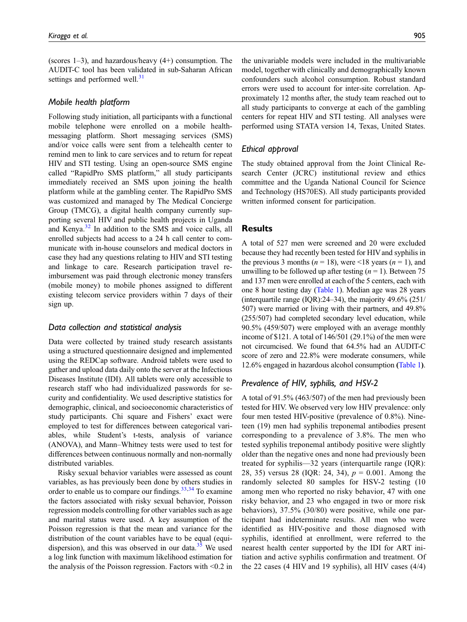(scores 1–3), and hazardous/heavy (4+) consumption. The AUDIT-C tool has been validated in sub-Saharan African settings and performed well. $31$ 

#### Mobile health platform

Following study initiation, all participants with a functional mobile telephone were enrolled on a mobile healthmessaging platform. Short messaging services (SMS) and/or voice calls were sent from a telehealth center to remind men to link to care services and to return for repeat HIV and STI testing. Using an open-source SMS engine called "RapidPro SMS platform," all study participants immediately received an SMS upon joining the health platform while at the gambling center. The RapidPro SMS was customized and managed by The Medical Concierge Group (TMCG), a digital health company currently supporting several HIV and public health projects in Uganda and Kenya.<sup>[32](#page-7-18)</sup> In addition to the SMS and voice calls, all enrolled subjects had access to a 24 h call center to communicate with in-house counselors and medical doctors in case they had any questions relating to HIV and STI testing and linkage to care. Research participation travel reimbursement was paid through electronic money transfers (mobile money) to mobile phones assigned to different existing telecom service providers within 7 days of their sign up.

# Data collection and statistical analysis

Data were collected by trained study research assistants using a structured questionnaire designed and implemented using the REDCap software. Android tablets were used to gather and upload data daily onto the server at the Infectious Diseases Institute (IDI). All tablets were only accessible to research staff who had individualized passwords for security and confidentiality. We used descriptive statistics for demographic, clinical, and socioeconomic characteristics of study participants. Chi square and Fishers' exact were employed to test for differences between categorical variables, while Student's t-tests, analysis of variance (ANOVA), and Mann–Whitney tests were used to test for differences between continuous normally and non-normally distributed variables.

Risky sexual behavior variables were assessed as count variables, as has previously been done by others studies in order to enable us to compare our findings. $33,34$  $33,34$  To examine the factors associated with risky sexual behavior, Poisson regression models controlling for other variables such as age and marital status were used. A key assumption of the Poisson regression is that the mean and variance for the distribution of the count variables have to be equal (equidispersion), and this was observed in our data. $35$  We used a log link function with maximum likelihood estimation for the analysis of the Poisson regression. Factors with <0.2 in

the univariable models were included in the multivariable model, together with clinically and demographically known confounders such alcohol consumption. Robust standard errors were used to account for inter-site correlation. Approximately 12 months after, the study team reached out to all study participants to converge at each of the gambling centers for repeat HIV and STI testing. All analyses were performed using STATA version 14, Texas, United States.

## Ethical approval

The study obtained approval from the Joint Clinical Research Center (JCRC) institutional review and ethics committee and the Uganda National Council for Science and Technology (HS70ES). All study participants provided written informed consent for participation.

# Results

A total of 527 men were screened and 20 were excluded because they had recently been tested for HIV and syphilis in the previous 3 months ( $n = 18$ ), were <18 years ( $n = 1$ ), and unwilling to be followed up after testing  $(n = 1)$ . Between 75 and 137 men were enrolled at each of the 5 centers, each with one 8 hour testing day ([Table 1](#page-3-0)). Median age was 28 years (interquartile range (IQR):24–34), the majority 49.6% (251/ 507) were married or living with their partners, and 49.8% (255/507) had completed secondary level education, while 90.5% (459/507) were employed with an average monthly income of \$121. A total of 146/501 (29.1%) of the men were not circumcised. We found that 64.5% had an AUDIT-C score of zero and 22.8% were moderate consumers, while 12.6% engaged in hazardous alcohol consumption ([Table 1](#page-3-0)).

## Prevalence of HIV, syphilis, and HSV-2

A total of 91.5% (463/507) of the men had previously been tested for HIV. We observed very low HIV prevalence: only four men tested HIV-positive (prevalence of 0.8%). Nineteen (19) men had syphilis treponemal antibodies present corresponding to a prevalence of 3.8%. The men who tested syphilis treponemal antibody positive were slightly older than the negative ones and none had previously been treated for syphilis—32 years (interquartile range (IQR): 28, 35) versus 28 (IQR: 24, 34),  $p = 0.001$ . Among the randomly selected 80 samples for HSV-2 testing (10 among men who reported no risky behavior, 47 with one risky behavior, and 23 who engaged in two or more risk behaviors), 37.5% (30/80) were positive, while one participant had indeterminate results. All men who were identified as HIV-positive and those diagnosed with syphilis, identified at enrollment, were referred to the nearest health center supported by the IDI for ART initiation and active syphilis confirmation and treatment. Of the 22 cases (4 HIV and 19 syphilis), all HIV cases (4/4)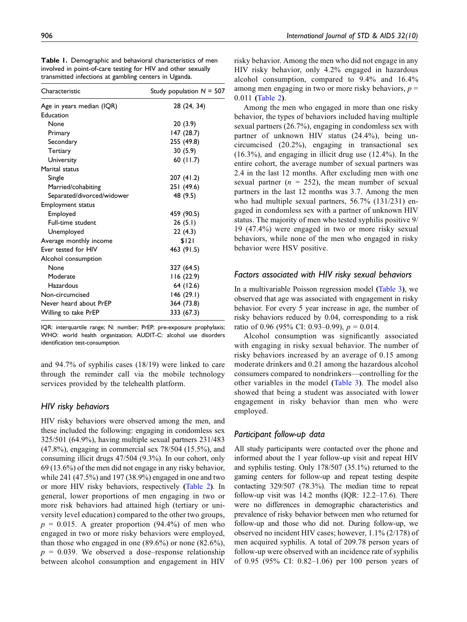| Characteristic             | Study population $N = 507$ |
|----------------------------|----------------------------|
| Age in years median (IQR)  | 28 (24, 34)                |
| Education                  |                            |
| None                       | 20(3.9)                    |
| Primary                    | 147 (28.7)                 |
| Secondary                  | 255 (49.8)                 |
| Tertiary                   | 30(5.9)                    |
| University                 | 60(11.7)                   |
| Marital status             |                            |
| Single                     | 207 (41.2)                 |
| Married/cohabiting         | 251 (49.6)                 |
| Separated/divorced/widower | 48 (9.5)                   |
| Employment status          |                            |
| Employed                   | 459 (90.5)                 |
| Full-time student          | 26(5.1)                    |
| Unemployed                 | 22 (4.3)                   |
| Average monthly income     | \$121                      |
| Ever tested for HIV        | 463 (91.5)                 |
| Alcohol consumption        |                            |
| None                       | 327 (64.5)                 |
| Moderate                   | 116 (22.9)                 |
| Hazardous                  | 64 (12.6)                  |
| Non-circumcised            | 146 (29.1)                 |
| Never heard about PrEP     | 364 (73.8)                 |
| Willing to take PrEP       | 333 (67.3)                 |
|                            |                            |

Table 1. Demographic and behavioral characteristics of men involved in point-of-care testing for HIV and other sexually transmitted infections at gambling centers in Uganda.

<span id="page-3-0"></span>IQR: interquartile range; N: number; PrEP: pre-exposure prophylaxis; WHO: world health organization; AUDIT-C: alcohol use disorders identification test-consumption.

and 94.7% of syphilis cases (18/19) were linked to care through the reminder call via the mobile technology services provided by the telehealth platform.

# HIV risky behaviors

HIV risky behaviors were observed among the men, and these included the following: engaging in condomless sex 325/501 (64.9%), having multiple sexual partners 231/483 (47.8%), engaging in commercial sex 78/504 (15.5%), and consuming illicit drugs 47/504 (9.3%). In our cohort, only 69 (13.6%) of the men did not engage in any risky behavior, while 241 (47.5%) and 197 (38.9%) engaged in one and two or more HIV risky behaviors, respectively ([Table 2](#page-4-0)). In general, lower proportions of men engaging in two or more risk behaviors had attained high (tertiary or university level education) compared to the other two groups,  $p = 0.015$ . A greater proportion (94.4%) of men who engaged in two or more risky behaviors were employed, than those who engaged in one  $(89.6\%)$  or none  $(82.6\%)$ ,  $p = 0.039$ . We observed a dose–response relationship between alcohol consumption and engagement in HIV

risky behavior. Among the men who did not engage in any HIV risky behavior, only 4.2% engaged in hazardous alcohol consumption, compared to 9.4% and 16.4% among men engaging in two or more risky behaviors,  $p =$ 0.011 ([Table 2](#page-4-0)).

Among the men who engaged in more than one risky behavior, the types of behaviors included having multiple sexual partners (26.7%), engaging in condomless sex with partner of unknown HIV status (24.4%), being uncircumcised (20.2%), engaging in transactional sex (16.3%), and engaging in illicit drug use (12.4%). In the entire cohort, the average number of sexual partners was 2.4 in the last 12 months. After excluding men with one sexual partner ( $n = 252$ ), the mean number of sexual partners in the last 12 months was 3.7. Among the men who had multiple sexual partners, 56.7% (131/231) engaged in condomless sex with a partner of unknown HIV status. The majority of men who tested syphilis positive 9/ 19 (47.4%) were engaged in two or more risky sexual behaviors, while none of the men who engaged in risky behavior were HSV positive.

# Factors associated with HIV risky sexual behaviors

In a multivariable Poisson regression model ([Table 3](#page-5-0)), we observed that age was associated with engagement in risky behavior. For every 5 year increase in age, the number of risky behaviors reduced by 0.04, corresponding to a risk ratio of 0.96 (95% CI: 0.93–0.99),  $p = 0.014$ .

Alcohol consumption was significantly associated with engaging in risky sexual behavior. The number of risky behaviors increased by an average of 0.15 among moderate drinkers and 0.21 among the hazardous alcohol consumers compared to nondrinkers—controlling for the other variables in the model ([Table 3](#page-5-0)). The model also showed that being a student was associated with lower engagement in risky behavior than men who were employed.

# Participant follow-up data

All study participants were contacted over the phone and informed about the 1 year follow-up visit and repeat HIV and syphilis testing. Only 178/507 (35.1%) returned to the gaming centers for follow-up and repeat testing despite contacting 329/507 (78.3%). The median time to repeat follow-up visit was 14.2 months (IQR: 12.2–17.6). There were no differences in demographic characteristics and prevalence of risky behavior between men who returned for follow-up and those who did not. During follow-up, we observed no incident HIV cases; however, 1.1% (2/178) of men acquired syphilis. A total of 209.78 person years of follow-up were observed with an incidence rate of syphilis of 0.95 (95% CI: 0.82–1.06) per 100 person years of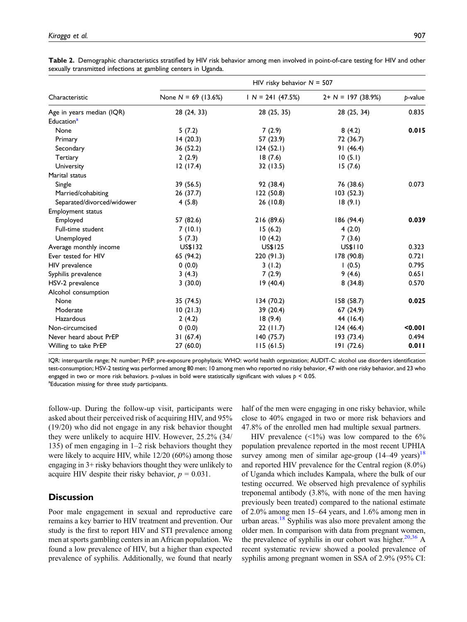|                            | HIV risky behavior $N = 507$ |                   |                      |         |  |
|----------------------------|------------------------------|-------------------|----------------------|---------|--|
| Characteristic             | None $N = 69$ (13.6%)        | $IN = 241(47.5%)$ | $2+ N = 197 (38.9%)$ | p-value |  |
| Age in years median (IQR)  | 28 (24, 33)                  | 28 (25, 35)       | 28 (25, 34)          | 0.835   |  |
| Education <sup>a</sup>     |                              |                   |                      |         |  |
| None                       | 5(7.2)                       | 7(2.9)            | 8(4.2)               | 0.015   |  |
| Primary                    | 14(20.3)                     | 57 (23.9)         | 72 (36.7)            |         |  |
| Secondary                  | 36 (52.2)                    | 124(52.1)         | 91(46.4)             |         |  |
| Tertiary                   | 2(2.9)                       | 18(7.6)           | 10(5.1)              |         |  |
| University                 | 12(17.4)                     | 32 (13.5)         | 15(7.6)              |         |  |
| Marital status             |                              |                   |                      |         |  |
| Single                     | 39 (56.5)                    | 92 (38.4)         | 76 (38.6)            | 0.073   |  |
| Married/cohabiting         | 26 (37.7)                    | 122(50.8)         | 103 (52.3)           |         |  |
| Separated/divorced/widower | 4(5.8)                       | 26 (10.8)         | 18(9.1)              |         |  |
| Employment status          |                              |                   |                      |         |  |
| Employed                   | 57 (82.6)                    | 216 (89.6)        | 186 (94.4)           | 0.039   |  |
| Full-time student          | 7(10.1)                      | 15(6.2)           | 4(2.0)               |         |  |
| Unemployed                 | 5(7.3)                       | 10(4.2)           | 7(3.6)               |         |  |
| Average monthly income     | US\$132                      | US\$125           | US\$110              | 0.323   |  |
| Ever tested for HIV        | 65 (94.2)                    | 220(91.3)         | 178 (90.8)           | 0.721   |  |
| HIV prevalence             | 0(0.0)                       | 3(1.2)            | 1(0.5)               | 0.795   |  |
| Syphilis prevalence        | 3(4.3)                       | 7(2.9)            | 9(4.6)               | 0.651   |  |
| HSV-2 prevalence           | 3(30.0)                      | 19(40.4)          | 8(34.8)              | 0.570   |  |
| Alcohol consumption        |                              |                   |                      |         |  |
| None                       | 35 (74.5)                    | 134 (70.2)        | 158 (58.7)           | 0.025   |  |
| Moderate                   | 10(21.3)                     | 39 (20.4)         | 67 (24.9)            |         |  |
| Hazardous                  | 2(4.2)                       | 18(9.4)           | 44 (16.4)            |         |  |
| Non-circumcised            | 0(0.0)                       | 22(11.7)          | 124(46.4)            | < 0.001 |  |
| Never heard about PrEP     | 31(67.4)                     | 140 (75.7)        | 193(73.4)            | 0.494   |  |
| Willing to take PrEP       | 27 (60.0)                    | 115(61.5)         | 191 (72.6)           | 0.011   |  |

Table 2. Demographic characteristics stratified by HIV risk behavior among men involved in point-of-care testing for HIV and other sexually transmitted infections at gambling centers in Uganda.

<span id="page-4-1"></span><span id="page-4-0"></span>IQR: interquartile range; N: number; PrEP: pre-exposure prophylaxis; WHO: world health organization; AUDIT-C: alcohol use disorders identification test-consumption; HSV-2 testing was performed among 80 men; 10 among men who reported no risky behavior, 47 with one risky behavior, and 23 who engaged in two or more risk behaviors. p-values in bold were statistically significant with values  $p < 0.05$ . <sup>a</sup>Education missing for three study participants.

follow-up. During the follow-up visit, participants were asked about their perceived risk of acquiring HIV, and 95% (19/20) who did not engage in any risk behavior thought they were unlikely to acquire HIV. However, 25.2% (34/ 135) of men engaging in 1–2 risk behaviors thought they were likely to acquire HIV, while 12/20 (60%) among those engaging in 3+ risky behaviors thought they were unlikely to acquire HIV despite their risky behavior,  $p = 0.031$ .

# **Discussion**

Poor male engagement in sexual and reproductive care remains a key barrier to HIV treatment and prevention. Our study is the first to report HIV and STI prevalence among men at sports gambling centers in an African population. We found a low prevalence of HIV, but a higher than expected prevalence of syphilis. Additionally, we found that nearly half of the men were engaging in one risky behavior, while close to 40% engaged in two or more risk behaviors and 47.8% of the enrolled men had multiple sexual partners.

HIV prevalence  $(1\%)$  was low compared to the 6% population prevalence reported in the most recent UPHIA survey among men of similar age-group  $(14–49 \text{ years})^{18}$  $(14–49 \text{ years})^{18}$  $(14–49 \text{ years})^{18}$ and reported HIV prevalence for the Central region (8.0%) of Uganda which includes Kampala, where the bulk of our testing occurred. We observed high prevalence of syphilis treponemal antibody (3.8%, with none of the men having previously been treated) compared to the national estimate of 2.0% among men 15–64 years, and 1.6% among men in urban areas.<sup>[18](#page-7-5)</sup> Syphilis was also more prevalent among the older men. In comparison with data from pregnant women, the prevalence of syphilis in our cohort was higher. $20,36$  $20,36$  A recent systematic review showed a pooled prevalence of syphilis among pregnant women in SSA of 2.9% (95% CI: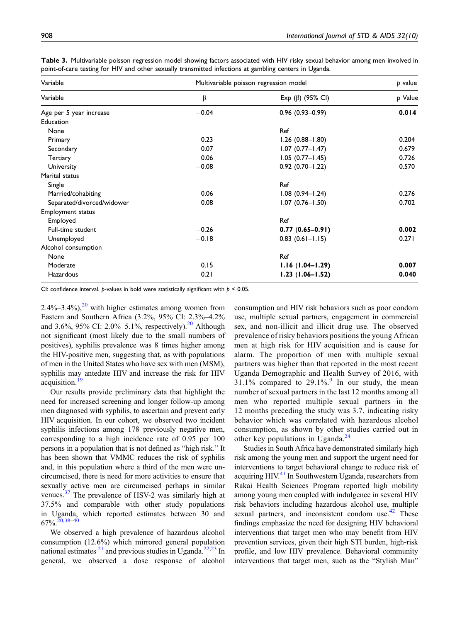| Variable                   | Multivariable poisson regression model | p value                |         |
|----------------------------|----------------------------------------|------------------------|---------|
| Variable                   | β                                      | Exp (β) (95% CI)       | p Value |
| Age per 5 year increase    | $-0.04$                                | $0.96$ (0.93-0.99)     | 0.014   |
| Education                  |                                        |                        |         |
| None                       |                                        | Ref                    |         |
| Primary                    | 0.23                                   | $1.26(0.88 - 1.80)$    | 0.204   |
| Secondary                  | 0.07                                   | $1.07(0.77 - 1.47)$    | 0.679   |
| Tertiary                   | 0.06                                   | $1.05(0.77 - 1.45)$    | 0.726   |
| University                 | $-0.08$                                | $0.92$ (0.70-1.22)     | 0.570   |
| Marital status             |                                        |                        |         |
| Single                     |                                        | Ref                    |         |
| Married/cohabiting         | 0.06                                   | $1.08(0.94 - 1.24)$    | 0.276   |
| Separated/divorced/widower | 0.08                                   | $1.07(0.76 - 1.50)$    | 0.702   |
| <b>Employment status</b>   |                                        |                        |         |
| Employed                   |                                        | Ref                    |         |
| Full-time student          | $-0.26$                                | $0.77(0.65 - 0.91)$    | 0.002   |
| Unemployed                 | $-0.18$                                | $0.83$ $(0.61 - 1.15)$ | 0.271   |
| Alcohol consumption        |                                        |                        |         |
| None                       |                                        | Ref                    |         |
| Moderate                   | 0.15                                   | $1.16(1.04-1.29)$      | 0.007   |
| Hazardous                  | 0.21                                   | $1.23(1.06 - 1.52)$    | 0.040   |

Table 3. Multivariable poisson regression model showing factors associated with HIV risky sexual behavior among men involved in point-of-care testing for HIV and other sexually transmitted infections at gambling centers in Uganda.

<span id="page-5-0"></span>CI: confidence interval. p-values in bold were statistically significant with  $p < 0.05$ .

 $2.4\%$ – $3.4\%$ ),<sup>[20](#page-7-7)</sup> with higher estimates among women from Eastern and Southern Africa (3.2%, 95% CI: 2.3%–4.2% and 3.6%, 95% CI: 2.0%–5.1%, respectively).<sup>[20](#page-7-7)</sup> Although not significant (most likely due to the small numbers of positives), syphilis prevalence was 8 times higher among the HIV-positive men, suggesting that, as with populations of men in the United States who have sex with men (MSM), syphilis may antedate HIV and increase the risk for HIV acquisition.<sup>[19](#page-7-6)</sup>

Our results provide preliminary data that highlight the need for increased screening and longer follow-up among men diagnosed with syphilis, to ascertain and prevent early HIV acquisition. In our cohort, we observed two incident syphilis infections among 178 previously negative men, corresponding to a high incidence rate of 0.95 per 100 persons in a population that is not defined as "high risk." It has been shown that VMMC reduces the risk of syphilis and, in this population where a third of the men were uncircumcised, there is need for more activities to ensure that sexually active men are circumcised perhaps in similar venues.[37](#page-7-23) The prevalence of HSV-2 was similarly high at 37.5% and comparable with other study populations in Uganda, which reported estimates between 30 and  $67\%$ .  $20,38-40$  $20,38-40$  $20,38-40$  $20,38-40$ 

We observed a high prevalence of hazardous alcohol consumption (12.6%) which mirrored general population national estimates  $21$  and previous studies in Uganda.<sup>[22](#page-7-9)[,23](#page-7-10)</sup> In general, we observed a dose response of alcohol

consumption and HIV risk behaviors such as poor condom use, multiple sexual partners, engagement in commercial sex, and non-illicit and illicit drug use. The observed prevalence of risky behaviors positions the young African men at high risk for HIV acquisition and is cause for alarm. The proportion of men with multiple sexual partners was higher than that reported in the most recent Uganda Demographic and Health Survey of 2016, with  $31.1\%$  compared to  $29.1\%$  $29.1\%$  $29.1\%$ . In our study, the mean number of sexual partners in the last 12 months among all men who reported multiple sexual partners in the 12 months preceding the study was 3.7, indicating risky behavior which was correlated with hazardous alcohol consumption, as shown by other studies carried out in other key populations in Uganda.<sup>[24](#page-7-11)</sup>

Studies in South Africa have demonstrated similarly high risk among the young men and support the urgent need for interventions to target behavioral change to reduce risk of acquiring HIV.<sup>[41](#page-7-26)</sup> In Southwestern Uganda, researchers from Rakai Health Sciences Program reported high mobility among young men coupled with indulgence in several HIV risk behaviors including hazardous alcohol use, multiple sexual partners, and inconsistent condom use. $42$  These findings emphasize the need for designing HIV behavioral interventions that target men who may benefit from HIV prevention services, given their high STI burden, high-risk profile, and low HIV prevalence. Behavioral community interventions that target men, such as the "Stylish Man"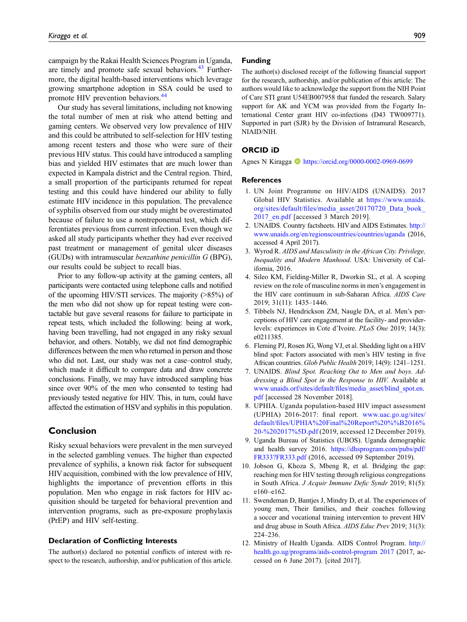campaign by the Rakai Health Sciences Program in Uganda, are timely and promote safe sexual behaviors. $43$  Furthermore, the digital health-based interventions which leverage growing smartphone adoption in SSA could be used to promote HIV prevention behaviors.<sup>[44](#page-7-29)</sup>

Our study has several limitations, including not knowing the total number of men at risk who attend betting and gaming centers. We observed very low prevalence of HIV and this could be attributed to self-selection for HIV testing among recent testers and those who were sure of their previous HIV status. This could have introduced a sampling bias and yielded HIV estimates that are much lower than expected in Kampala district and the Central region. Third, a small proportion of the participants returned for repeat testing and this could have hindered our ability to fully estimate HIV incidence in this population. The prevalence of syphilis observed from our study might be overestimated because of failure to use a nontreponemal test, which differentiates previous from current infection. Even though we asked all study participants whether they had ever received past treatment or management of genital ulcer diseases (GUDs) with intramuscular benzathine penicillin G (BPG), our results could be subject to recall bias.

Prior to any follow-up activity at the gaming centers, all participants were contacted using telephone calls and notified of the upcoming HIV/STI services. The majority (>85%) of the men who did not show up for repeat testing were contactable but gave several reasons for failure to participate in repeat tests, which included the following: being at work, having been travelling, had not engaged in any risky sexual behavior, and others. Notably, we did not find demographic differences between the men who returned in person and those who did not. Last, our study was not a case–control study, which made it difficult to compare data and draw concrete conclusions. Finally, we may have introduced sampling bias since over 90% of the men who consented to testing had previously tested negative for HIV. This, in turn, could have affected the estimation of HSVand syphilis in this population.

# Conclusion

Risky sexual behaviors were prevalent in the men surveyed in the selected gambling venues. The higher than expected prevalence of syphilis, a known risk factor for subsequent HIV acquisition, combined with the low prevalence of HIV, highlights the importance of prevention efforts in this population. Men who engage in risk factors for HIV acquisition should be targeted for behavioral prevention and intervention programs, such as pre-exposure prophylaxis (PrEP) and HIV self-testing.

### Declaration of Conflicting Interests

The author(s) declared no potential conflicts of interest with respect to the research, authorship, and/or publication of this article.

# Funding

The author(s) disclosed receipt of the following financial support for the research, authorship, and/or publication of this article: The authors would like to acknowledge the support from the NIH Point of Care STI grant U54EB007958 that funded the research. Salary support for AK and YCM was provided from the Fogarty International Center grant HIV co-infections (D43 TW009771). Supported in part (SJR) by the Division of Intramural Research, NIAID/NIH.

### ORCID iD

Agnes N Kiragga **I** <https://orcid.org/0000-0002-0969-0699>

#### **References**

- <span id="page-6-0"></span>1. UN Joint Programme on HIV/AIDS (UNAIDS). 2017 Global HIV Statistics. Available at [https://www.unaids.](https://www.unaids.org/sites/default/files/media_asset/20170720_Data_book_2017_en.pdf) org/sites/default/fi[les/media\\_asset/20170720\\_Data\\_book\\_](https://www.unaids.org/sites/default/files/media_asset/20170720_Data_book_2017_en.pdf) 2017 en.pdf [accessed 3 March 2019].
- <span id="page-6-1"></span>2. UNAIDS. Country factsheets. HIV and AIDS Estimates. [http://](http://www.unaids.org/en/regionscountries/countries/uganda) [www.unaids.org/en/regionscountries/countries/uganda](http://www.unaids.org/en/regionscountries/countries/uganda) (2016, accessed 4 April 2017).
- <span id="page-6-2"></span>3. Wyrod R. AIDS and Masculinity in the African City. Privilege, Inequality and Modern Manhood. USA: University of California, 2016.
- 4. Sileo KM, Fielding-Miller R, Dworkin SL, et al. A scoping review on the role of masculine norms in men's engagement in the HIV care continuum in sub-Saharan Africa. AIDS Care 2019; 31(11): 1435–1446.
- <span id="page-6-3"></span>5. Tibbels NJ, Hendrickson ZM, Naugle DA, et al. Men's perceptions of HIV care engagement at the facility- and providerlevels: experiences in Cote d'Ivoire. PLoS One 2019; 14(3): e0211385.
- <span id="page-6-4"></span>6. Fleming PJ, Rosen JG, Wong VJ, et al. Shedding light on a HIV blind spot: Factors associated with men's HIV testing in five African countries. Glob Public Health 2019; 14(9): 1241–1251.
- <span id="page-6-5"></span>7. UNAIDS. Blind Spot. Reaching Out to Men and boys. Addressing a Blind Spot in the Response to HIV. Available at www.unaids.orf/sites/default/fi[les/media\\_asset/blind\\_spot.en.](www.unaids.orf/sites/default/files/media_asset/blind_spot.en.pdf) [pdf](www.unaids.orf/sites/default/files/media_asset/blind_spot.en.pdf) [accessed 28 November 2018].
- <span id="page-6-6"></span>8. UPHIA. Uganda population-based HIV impact assessment (UPHIA) 2016-2017: final report. [www.uac.go.ug/sites/](www.uac.go.ug/sites/default/files/UPHIA%20Final%20Report%20%%B2016%20-%202017%5D.pdf) default/fi[les/UPHIA%20Final%20Report%20%%B2016%](www.uac.go.ug/sites/default/files/UPHIA%20Final%20Report%20%%B2016%20-%202017%5D.pdf) [20-%202017%5D.pdf](www.uac.go.ug/sites/default/files/UPHIA%20Final%20Report%20%%B2016%20-%202017%5D.pdf) (2019, accessed 12 December 2019).
- <span id="page-6-7"></span>9. Uganda Bureau of Statistics (UBOS). Uganda demographic and health survey 2016. [https://dhsprogram.com/pubs/pdf/](https://dhsprogram.com/pubs/pdf/FR333?FR333.pdf) [FR333?FR333.pdf](https://dhsprogram.com/pubs/pdf/FR333?FR333.pdf) (2016, accessed 09 September 2019).
- <span id="page-6-8"></span>10. Jobson G, Khoza S, Mbeng R, et al. Bridging the gap: reaching men for HIV testing through religious congregations in South Africa. J Acquir Immune Defic Syndr 2019; 81(5): e160–e162.
- <span id="page-6-9"></span>11. Swendeman D, Bantjes J, Mindry D, et al. The experiences of young men, Their families, and their coaches following a soccer and vocational training intervention to prevent HIV and drug abuse in South Africa. AIDS Educ Prev 2019; 31(3): 224–236.
- <span id="page-6-10"></span>12. Ministry of Health Uganda. AIDS Control Program. [http://](http://health.go.ug/programs/aids-control-program%202017) [health.go.ug/programs/aids-control-program 2017](http://health.go.ug/programs/aids-control-program%202017) (2017, accessed on 6 June 2017). [cited 2017].